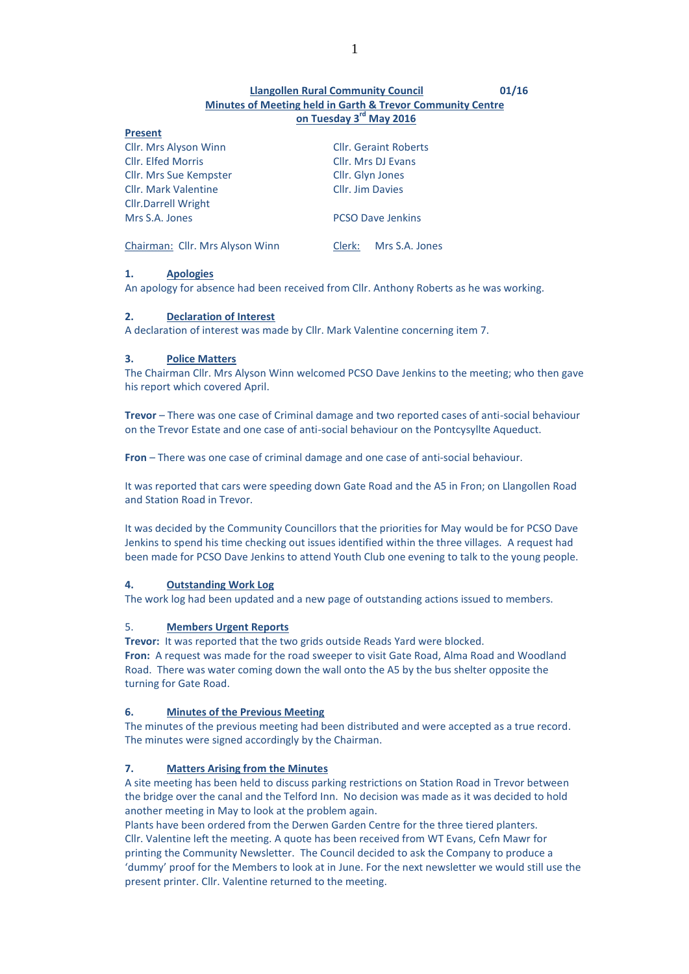# **Llangollen Rural Community Council 01/16 Minutes of Meeting held in Garth & Trevor Community Centre on Tuesday 3 rd May 2016**

| <b>Cllr.</b> Geraint Roberts |  |
|------------------------------|--|
| Cllr. Mrs DJ Evans           |  |
| Cllr. Glyn Jones             |  |
| Cllr. Jim Davies             |  |
|                              |  |
| <b>PCSO Dave Jenkins</b>     |  |
| Mrs S.A. Jones<br>Clerk:     |  |
|                              |  |

# **1. Apologies**

**Present**

An apology for absence had been received from Cllr. Anthony Roberts as he was working.

## **2. Declaration of Interest**

A declaration of interest was made by Cllr. Mark Valentine concerning item 7.

# **3. Police Matters**

The Chairman Cllr. Mrs Alyson Winn welcomed PCSO Dave Jenkins to the meeting; who then gave his report which covered April.

**Trevor** – There was one case of Criminal damage and two reported cases of anti-social behaviour on the Trevor Estate and one case of anti-social behaviour on the Pontcysyllte Aqueduct.

**Fron** – There was one case of criminal damage and one case of anti-social behaviour.

It was reported that cars were speeding down Gate Road and the A5 in Fron; on Llangollen Road and Station Road in Trevor.

It was decided by the Community Councillors that the priorities for May would be for PCSO Dave Jenkins to spend his time checking out issues identified within the three villages. A request had been made for PCSO Dave Jenkins to attend Youth Club one evening to talk to the young people.

# **4. Outstanding Work Log**

The work log had been updated and a new page of outstanding actions issued to members.

# 5. **Members Urgent Reports**

**Trevor:** It was reported that the two grids outside Reads Yard were blocked.

**Fron:** A request was made for the road sweeper to visit Gate Road, Alma Road and Woodland Road. There was water coming down the wall onto the A5 by the bus shelter opposite the turning for Gate Road.

### **6. Minutes of the Previous Meeting**

The minutes of the previous meeting had been distributed and were accepted as a true record. The minutes were signed accordingly by the Chairman.

# **7. Matters Arising from the Minutes**

A site meeting has been held to discuss parking restrictions on Station Road in Trevor between the bridge over the canal and the Telford Inn. No decision was made as it was decided to hold another meeting in May to look at the problem again.

Plants have been ordered from the Derwen Garden Centre for the three tiered planters. Cllr. Valentine left the meeting. A quote has been received from WT Evans, Cefn Mawr for printing the Community Newsletter. The Council decided to ask the Company to produce a 'dummy' proof for the Members to look at in June. For the next newsletter we would still use the present printer. Cllr. Valentine returned to the meeting.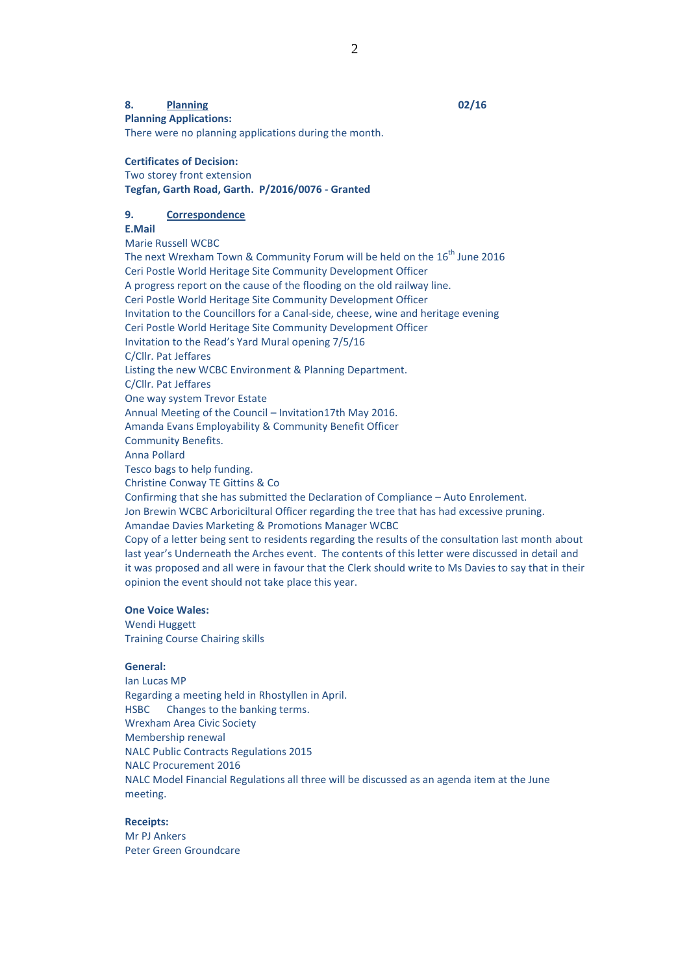## **8. Planning 02/16**

**Planning Applications:** There were no planning applications during the month.

# **Certificates of Decision:**

Two storey front extension **Tegfan, Garth Road, Garth. P/2016/0076 - Granted**

# **9. Correspondence**

# **E.Mail**

Marie Russell WCBC

The next Wrexham Town & Community Forum will be held on the  $16^{th}$  June 2016 Ceri Postle World Heritage Site Community Development Officer A progress report on the cause of the flooding on the old railway line. Ceri Postle World Heritage Site Community Development Officer Invitation to the Councillors for a Canal-side, cheese, wine and heritage evening Ceri Postle World Heritage Site Community Development Officer Invitation to the Read's Yard Mural opening 7/5/16 C/Cllr. Pat Jeffares Listing the new WCBC Environment & Planning Department. C/Cllr. Pat Jeffares One way system Trevor Estate Annual Meeting of the Council – Invitation17th May 2016. Amanda Evans Employability & Community Benefit Officer Community Benefits. Anna Pollard Tesco bags to help funding. Christine Conway TE Gittins & Co Confirming that she has submitted the Declaration of Compliance – Auto Enrolement. Jon Brewin WCBC Arboriciltural Officer regarding the tree that has had excessive pruning. Amandae Davies Marketing & Promotions Manager WCBC Copy of a letter being sent to residents regarding the results of the consultation last month about last year's Underneath the Arches event. The contents of this letter were discussed in detail and it was proposed and all were in favour that the Clerk should write to Ms Davies to say that in their

#### **One Voice Wales:**

Wendi Huggett Training Course Chairing skills

opinion the event should not take place this year.

### **General:**

Ian Lucas MP Regarding a meeting held in Rhostyllen in April. HSBC Changes to the banking terms. Wrexham Area Civic Society Membership renewal NALC Public Contracts Regulations 2015 NALC Procurement 2016 NALC Model Financial Regulations all three will be discussed as an agenda item at the June meeting.

# **Receipts:**

Mr PJ Ankers Peter Green Groundcare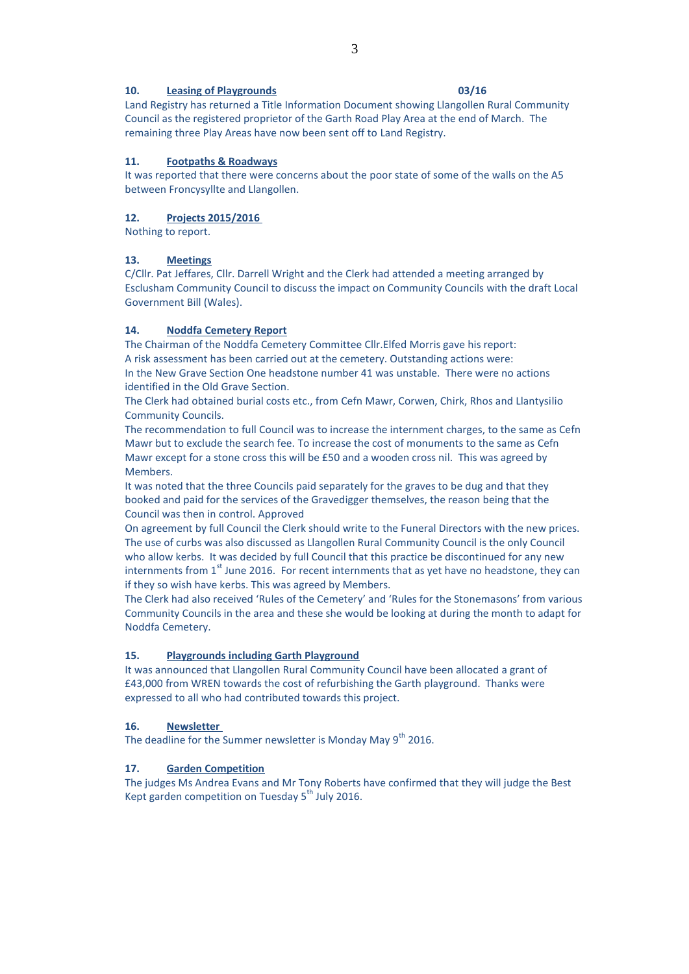# **10. Leasing of Playgrounds 03/16**

Land Registry has returned a Title Information Document showing Llangollen Rural Community Council as the registered proprietor of the Garth Road Play Area at the end of March. The remaining three Play Areas have now been sent off to Land Registry.

# **11. Footpaths & Roadways**

It was reported that there were concerns about the poor state of some of the walls on the A5 between Froncysyllte and Llangollen.

# **12. Projects 2015/2016**

Nothing to report.

## **13. Meetings**

C/Cllr. Pat Jeffares, Cllr. Darrell Wright and the Clerk had attended a meeting arranged by Esclusham Community Council to discuss the impact on Community Councils with the draft Local Government Bill (Wales).

## **14. Noddfa Cemetery Report**

The Chairman of the Noddfa Cemetery Committee Cllr.Elfed Morris gave his report: A risk assessment has been carried out at the cemetery. Outstanding actions were: In the New Grave Section One headstone number 41 was unstable. There were no actions identified in the Old Grave Section.

The Clerk had obtained burial costs etc., from Cefn Mawr, Corwen, Chirk, Rhos and Llantysilio Community Councils.

The recommendation to full Council was to increase the internment charges, to the same as Cefn Mawr but to exclude the search fee. To increase the cost of monuments to the same as Cefn Mawr except for a stone cross this will be £50 and a wooden cross nil. This was agreed by Members.

It was noted that the three Councils paid separately for the graves to be dug and that they booked and paid for the services of the Gravedigger themselves, the reason being that the Council was then in control. Approved

On agreement by full Council the Clerk should write to the Funeral Directors with the new prices. The use of curbs was also discussed as Llangollen Rural Community Council is the only Council who allow kerbs. It was decided by full Council that this practice be discontinued for any new internments from  $1<sup>st</sup>$  June 2016. For recent internments that as yet have no headstone, they can if they so wish have kerbs. This was agreed by Members.

The Clerk had also received 'Rules of the Cemetery' and 'Rules for the Stonemasons' from various Community Councils in the area and these she would be looking at during the month to adapt for Noddfa Cemetery.

# **15. Playgrounds including Garth Playground**

It was announced that Llangollen Rural Community Council have been allocated a grant of £43,000 from WREN towards the cost of refurbishing the Garth playground. Thanks were expressed to all who had contributed towards this project.

### **16. Newsletter**

The deadline for the Summer newsletter is Monday May  $9<sup>th</sup>$  2016.

#### **17. Garden Competition**

The judges Ms Andrea Evans and Mr Tony Roberts have confirmed that they will judge the Best Kept garden competition on Tuesday  $5^{th}$  July 2016.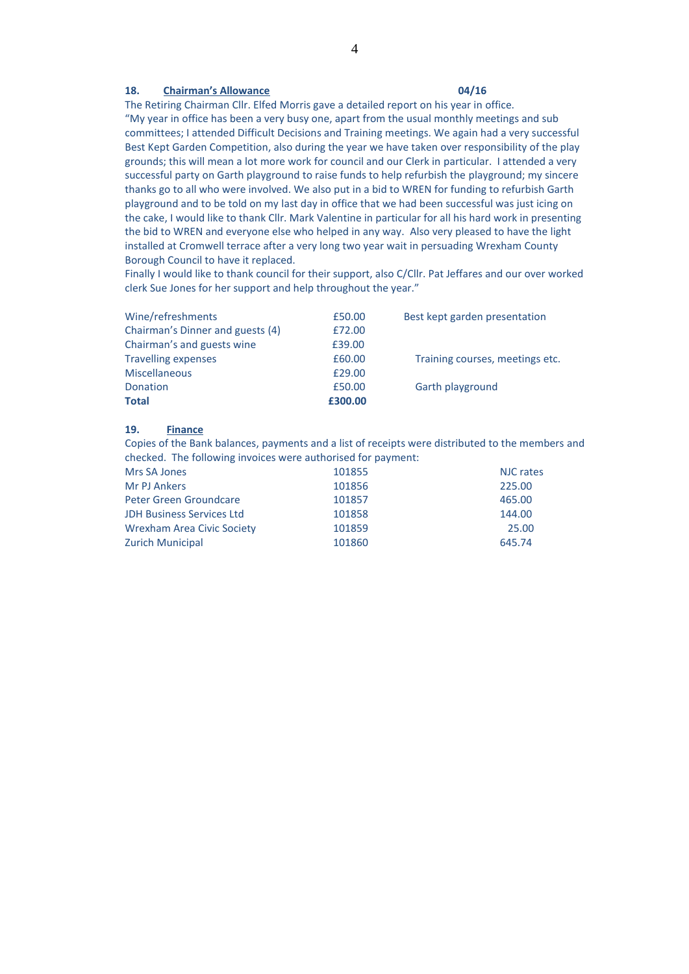# **18. Chairman's Allowance 04/16**

The Retiring Chairman Cllr. Elfed Morris gave a detailed report on his year in office.

"My year in office has been a very busy one, apart from the usual monthly meetings and sub committees; I attended Difficult Decisions and Training meetings. We again had a very successful Best Kept Garden Competition, also during the year we have taken over responsibility of the play grounds; this will mean a lot more work for council and our Clerk in particular. I attended a very successful party on Garth playground to raise funds to help refurbish the playground; my sincere thanks go to all who were involved. We also put in a bid to WREN for funding to refurbish Garth playground and to be told on my last day in office that we had been successful was just icing on the cake, I would like to thank Cllr. Mark Valentine in particular for all his hard work in presenting the bid to WREN and everyone else who helped in any way. Also very pleased to have the light installed at Cromwell terrace after a very long two year wait in persuading Wrexham County Borough Council to have it replaced.

Finally I would like to thank council for their support, also C/Cllr. Pat Jeffares and our over worked clerk Sue Jones for her support and help throughout the year."

| Wine/refreshments                | £50.00  | Best kept garden presentation   |
|----------------------------------|---------|---------------------------------|
| Chairman's Dinner and guests (4) | £72.00  |                                 |
| Chairman's and guests wine       | £39.00  |                                 |
| <b>Travelling expenses</b>       | £60.00  | Training courses, meetings etc. |
| <b>Miscellaneous</b>             | £29.00  |                                 |
| <b>Donation</b>                  | £50.00  | Garth playground                |
| <b>Total</b>                     | £300.00 |                                 |

### **19. Finance**

Copies of the Bank balances, payments and a list of receipts were distributed to the members and checked. The following invoices were authorised for payment:

| Mrs SA Jones                     | 101855 | NJC rates |
|----------------------------------|--------|-----------|
| Mr PJ Ankers                     | 101856 | 225.00    |
| Peter Green Groundcare           | 101857 | 465.00    |
| <b>JDH Business Services Ltd</b> | 101858 | 144.00    |
| Wrexham Area Civic Society       | 101859 | 25.00     |
| <b>Zurich Municipal</b>          | 101860 | 645.74    |
|                                  |        |           |